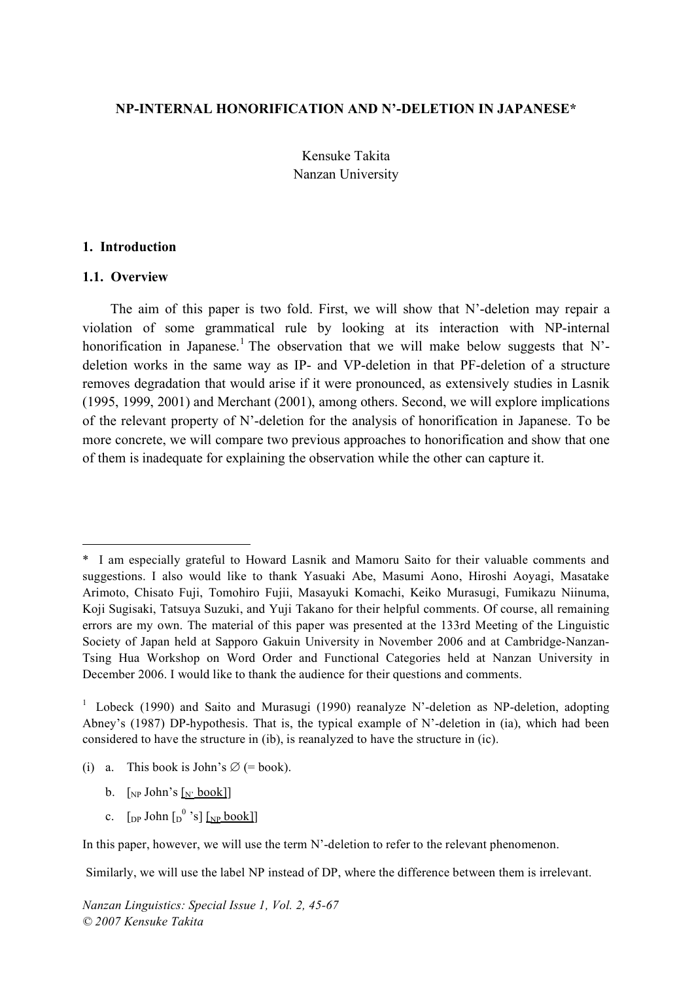#### **NP-INTERNAL HONORIFICATION AND N'-DELETION IN JAPANESE\***

Kensuke Takita Nanzan University

#### **1. Introduction**

#### **1.1. Overview**

 $\overline{a}$ 

The aim of this paper is two fold. First, we will show that N'-deletion may repair a violation of some grammatical rule by looking at its interaction with NP-internal honorification in Japanese.<sup>1</sup> The observation that we will make below suggests that N'deletion works in the same way as IP- and VP-deletion in that PF-deletion of a structure removes degradation that would arise if it were pronounced, as extensively studies in Lasnik (1995, 1999, 2001) and Merchant (2001), among others. Second, we will explore implications of the relevant property of N'-deletion for the analysis of honorification in Japanese. To be more concrete, we will compare two previous approaches to honorification and show that one of them is inadequate for explaining the observation while the other can capture it.

- b.  $\lceil_{NP}$  John's  $\lceil_{N'}$  book]]
- c.  $\left[$ <sub>DP</sub> John  $\left[$ <sub>D</sub><sup>0</sup> 's]  $\left[$ <sub>NP</sub> book]]

In this paper, however, we will use the term N'-deletion to refer to the relevant phenomenon.

Similarly, we will use the label NP instead of DP, where the difference between them is irrelevant.

<sup>\*</sup> I am especially grateful to Howard Lasnik and Mamoru Saito for their valuable comments and suggestions. I also would like to thank Yasuaki Abe, Masumi Aono, Hiroshi Aoyagi, Masatake Arimoto, Chisato Fuji, Tomohiro Fujii, Masayuki Komachi, Keiko Murasugi, Fumikazu Niinuma, Koji Sugisaki, Tatsuya Suzuki, and Yuji Takano for their helpful comments. Of course, all remaining errors are my own. The material of this paper was presented at the 133rd Meeting of the Linguistic Society of Japan held at Sapporo Gakuin University in November 2006 and at Cambridge-Nanzan-Tsing Hua Workshop on Word Order and Functional Categories held at Nanzan University in December 2006. I would like to thank the audience for their questions and comments.

<sup>&</sup>lt;sup>1</sup> Lobeck (1990) and Saito and Murasugi (1990) reanalyze N'-deletion as NP-deletion, adopting Abney's (1987) DP-hypothesis. That is, the typical example of N'-deletion in (ia), which had been considered to have the structure in (ib), is reanalyzed to have the structure in (ic).

<sup>(</sup>i) a. This book is John's  $\varnothing$  (= book).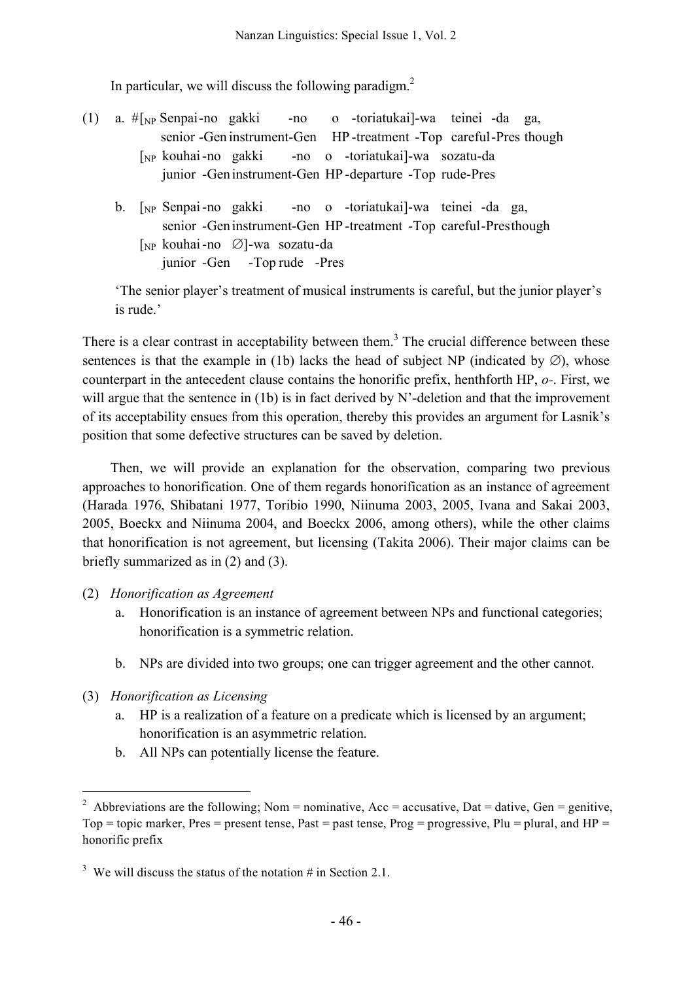In particular, we will discuss the following paradigm. $<sup>2</sup>$ </sup>

- (1) a. #[NP Senpai-no gakki -no o -toriatukai]-wa teinei -da ga, senior -Gen instrument-Gen HP -treatment -Top careful-Pres though [NP kouhai-no gakki -no o -toriatukai]-wa sozatu-da junior -Geninstrument-Gen HP -departure -Top rude-Pres
	- b. [NP Senpai-no gakki -no o -toriatukai]-wa teinei -da ga, senior -Geninstrument-Gen HP -treatment -Top careful-Presthough [NP kouhai-no ∅]-wa sozatu-da

junior -Gen -Top rude -Pres

'The senior player's treatment of musical instruments is careful, but the junior player's is rude.'

There is a clear contrast in acceptability between them.<sup>3</sup> The crucial difference between these sentences is that the example in (1b) lacks the head of subject NP (indicated by  $\emptyset$ ), whose counterpart in the antecedent clause contains the honorific prefix, henthforth HP, *o-*. First, we will argue that the sentence in (1b) is in fact derived by N'-deletion and that the improvement of its acceptability ensues from this operation, thereby this provides an argument for Lasnik's position that some defective structures can be saved by deletion.

Then, we will provide an explanation for the observation, comparing two previous approaches to honorification. One of them regards honorification as an instance of agreement (Harada 1976, Shibatani 1977, Toribio 1990, Niinuma 2003, 2005, Ivana and Sakai 2003, 2005, Boeckx and Niinuma 2004, and Boeckx 2006, among others), while the other claims that honorification is not agreement, but licensing (Takita 2006). Their major claims can be briefly summarized as in (2) and (3).

- (2) *Honorification as Agreement*
	- a. Honorification is an instance of agreement between NPs and functional categories; honorification is a symmetric relation.
	- b. NPs are divided into two groups; one can trigger agreement and the other cannot.
- (3) *Honorification as Licensing*
	- a. HP is a realization of a feature on a predicate which is licensed by an argument; honorification is an asymmetric relation.
	- b. All NPs can potentially license the feature.

<sup>&</sup>lt;sup>2</sup> Abbreviations are the following; Nom = nominative,  $Acc =$  accusative,  $Data =$  dative,  $Gen =$  genitive, Top = topic marker, Pres = present tense, Past = past tense, Prog = progressive, Plu = plural, and HP = honorific prefix

<sup>&</sup>lt;sup>3</sup> We will discuss the status of the notation  $\#$  in Section 2.1.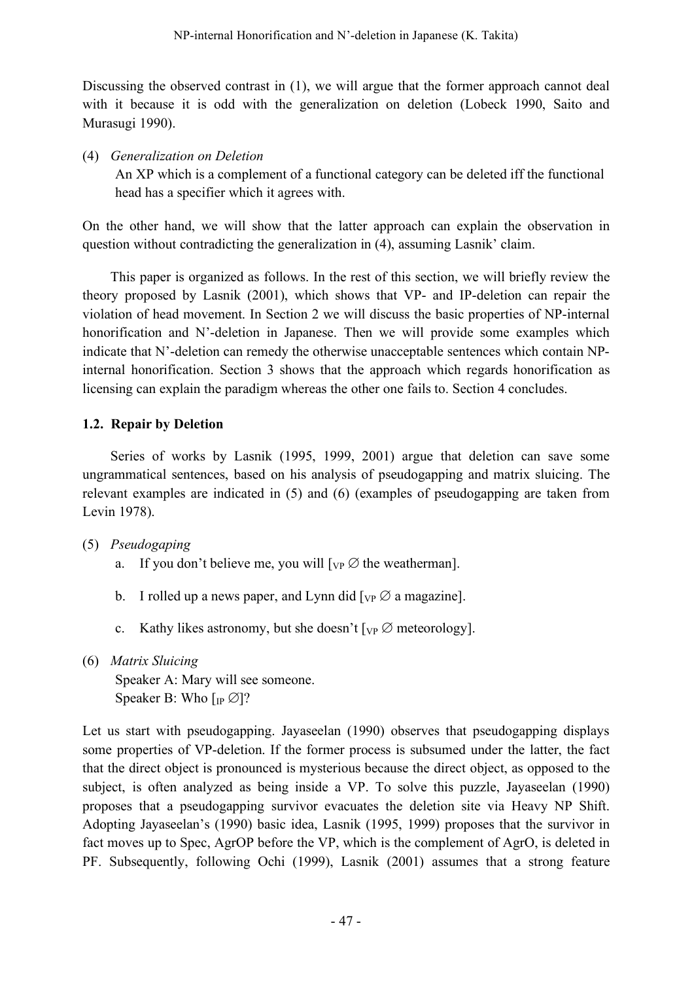Discussing the observed contrast in (1), we will argue that the former approach cannot deal with it because it is odd with the generalization on deletion (Lobeck 1990, Saito and Murasugi 1990).

(4) *Generalization on Deletion*

An XP which is a complement of a functional category can be deleted iff the functional head has a specifier which it agrees with.

On the other hand, we will show that the latter approach can explain the observation in question without contradicting the generalization in (4), assuming Lasnik' claim.

This paper is organized as follows. In the rest of this section, we will briefly review the theory proposed by Lasnik (2001), which shows that VP- and IP-deletion can repair the violation of head movement. In Section 2 we will discuss the basic properties of NP-internal honorification and N'-deletion in Japanese. Then we will provide some examples which indicate that N'-deletion can remedy the otherwise unacceptable sentences which contain NPinternal honorification. Section 3 shows that the approach which regards honorification as licensing can explain the paradigm whereas the other one fails to. Section 4 concludes.

## **1.2. Repair by Deletion**

Series of works by Lasnik (1995, 1999, 2001) argue that deletion can save some ungrammatical sentences, based on his analysis of pseudogapping and matrix sluicing. The relevant examples are indicated in (5) and (6) (examples of pseudogapping are taken from Levin 1978).

- (5) *Pseudogaping*
	- a. If you don't believe me, you will  $[\nabla_{\mathbf{P}} \oslash \mathbf{C}]$  the weatherman.
	- b. I rolled up a news paper, and Lynn did  $[\nabla P \varnothing]$  a magazine.
	- c. Kathy likes astronomy, but she doesn't  $[\nabla P \varnothing$  meteorology].
- (6) *Matrix Sluicing* Speaker A: Mary will see someone. Speaker B: Who  $\left[\right]_{IP} \varnothing$ ?

Let us start with pseudogapping. Jayaseelan (1990) observes that pseudogapping displays some properties of VP-deletion. If the former process is subsumed under the latter, the fact that the direct object is pronounced is mysterious because the direct object, as opposed to the subject, is often analyzed as being inside a VP. To solve this puzzle, Jayaseelan (1990) proposes that a pseudogapping survivor evacuates the deletion site via Heavy NP Shift. Adopting Jayaseelan's (1990) basic idea, Lasnik (1995, 1999) proposes that the survivor in fact moves up to Spec, AgrOP before the VP, which is the complement of AgrO, is deleted in PF. Subsequently, following Ochi (1999), Lasnik (2001) assumes that a strong feature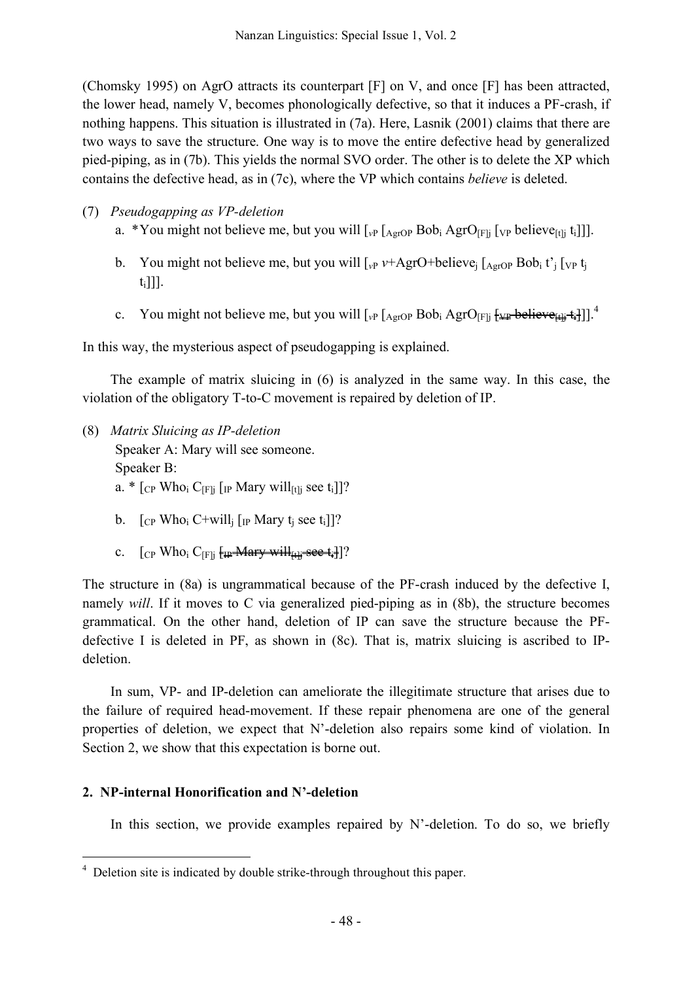(Chomsky 1995) on AgrO attracts its counterpart [F] on V, and once [F] has been attracted, the lower head, namely V, becomes phonologically defective, so that it induces a PF-crash, if nothing happens. This situation is illustrated in (7a). Here, Lasnik (2001) claims that there are two ways to save the structure. One way is to move the entire defective head by generalized pied-piping, as in (7b). This yields the normal SVO order. The other is to delete the XP which contains the defective head, as in (7c), where the VP which contains *believe* is deleted.

## (7) *Pseudogapping as VP-deletion*

a. \*You might not believe me, but you will  $\left[ \int_{V} P \left[ A \right]_{A} P^{\dagger} \right]_{A} P^{\dagger} \left[ \int_{V} P \left[ A \right]_{A} P^{\dagger} \right]$  [ $\left[ \int_{V} P \left[ A \right]_{A} P^{\dagger} \right]_{A} P^{\dagger} \left[ \int_{V} P \left[ A \right]_{A} P^{\dagger} \right]$ ].

- b. You might not believe me, but you will  $\int_{\mathcal{V}^P} v + \text{AgrO+believe}_i \left[ \text{AgrOP Bob}_i t \right] \left[ \text{VP } t_i \right]$  $[t_i]]]$ .
- c. You might not believe me, but you will  $\left[ v_P \left[_{AgrOP} \text{Bob}_i \text{AgrO}_{[F]j} \right] + \mu_P \text{believe}_{[Hj} + \frac{1}{2}] \right]$ .

In this way, the mysterious aspect of pseudogapping is explained.

The example of matrix sluicing in (6) is analyzed in the same way. In this case, the violation of the obligatory T-to-C movement is repaired by deletion of IP.

- (8) *Matrix Sluicing as IP-deletion* Speaker A: Mary will see someone. Speaker B: a.  $\ast$  [<sub>CP</sub> Who<sub>i</sub> C<sub>[F]j</sub> [<sub>IP</sub> Mary will<sub>[t]j</sub> see t<sub>i</sub>]]?
	- b.  $\int_{CP}$  Who<sub>i</sub> C+will<sub>i</sub>  $\int_{IP}$  Mary t<sub>i</sub> see t<sub>i</sub>]]?
	- c.  $[\text{CP Who}_i \ C_{\text{[F]i}} \ \text{[up–Mary-will]} + \text{see t.}]$ ?

The structure in (8a) is ungrammatical because of the PF-crash induced by the defective I, namely *will*. If it moves to C via generalized pied-piping as in (8b), the structure becomes grammatical. On the other hand, deletion of IP can save the structure because the PFdefective I is deleted in PF, as shown in (8c). That is, matrix sluicing is ascribed to IPdeletion.

In sum, VP- and IP-deletion can ameliorate the illegitimate structure that arises due to the failure of required head-movement. If these repair phenomena are one of the general properties of deletion, we expect that N'-deletion also repairs some kind of violation. In Section 2, we show that this expectation is borne out.

## **2. NP-internal Honorification and N'-deletion**

In this section, we provide examples repaired by N'-deletion. To do so, we briefly

<sup>&</sup>lt;sup>4</sup> Deletion site is indicated by double strike-through throughout this paper.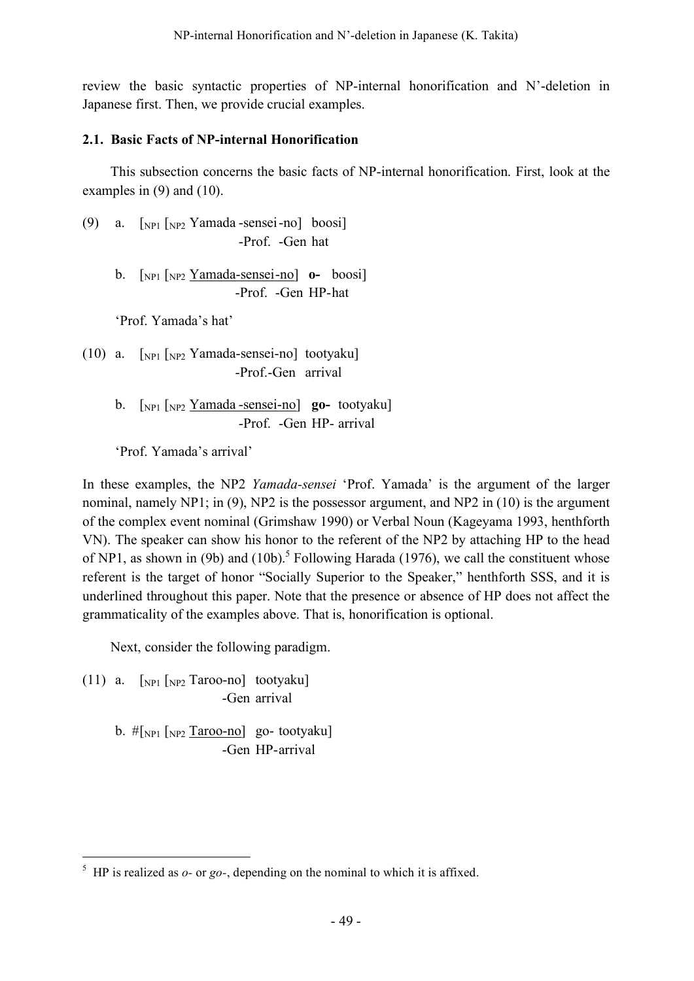review the basic syntactic properties of NP-internal honorification and N'-deletion in Japanese first. Then, we provide crucial examples.

#### **2.1. Basic Facts of NP-internal Honorification**

This subsection concerns the basic facts of NP-internal honorification. First, look at the examples in (9) and (10).

- (9) a.  $\lceil NP_1 \rceil_{NP_2}$  Yamada -sensei-no] boosi] -Prof. -Gen hat
	- b. [NP1 [NP2 Yamada-sensei-no] **o-** boosi] -Prof. -Gen HP-hat

'Prof. Yamada's hat'

- (10) a.  $\lceil_{NP1} \rceil_{NP2}$  Yamada-sensei-no] tootyaku] -Prof.-Gen arrival
	- b. [NP1 [NP2 Yamada -sensei-no] **go-** tootyaku] -Prof. -Gen HP- arrival

'Prof. Yamada's arrival'

In these examples, the NP2 *Yamada-sensei* 'Prof. Yamada' is the argument of the larger nominal, namely NP1; in (9), NP2 is the possessor argument, and NP2 in (10) is the argument of the complex event nominal (Grimshaw 1990) or Verbal Noun (Kageyama 1993, henthforth VN). The speaker can show his honor to the referent of the NP2 by attaching HP to the head of NP1, as shown in (9b) and (10b).<sup>5</sup> Following Harada (1976), we call the constituent whose referent is the target of honor "Socially Superior to the Speaker," henthforth SSS, and it is underlined throughout this paper. Note that the presence or absence of HP does not affect the grammaticality of the examples above. That is, honorification is optional.

Next, consider the following paradigm.

(11) a.  $\left[\text{NP1} \left( \text{NP2} \right) \text{To} \right]$  tootyaku] -Gen arrival

> b.  $\#$ [NP1 [NP2 Taroo-no] go- tootyaku] -Gen HP-arrival

 $5$  HP is realized as  $o$ - or  $go$ -, depending on the nominal to which it is affixed.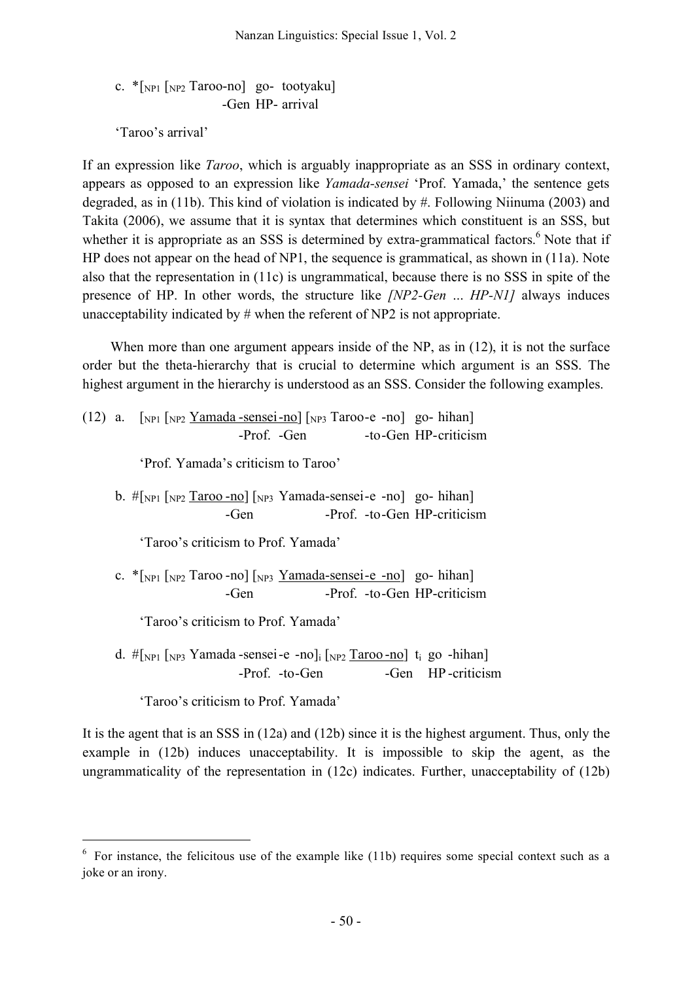c.  $\sqrt[k]{|_{NP1}|_{NP2}$  Taroo-no] go- tootyaku] -Gen HP- arrival

'Taroo's arrival'

If an expression like *Taroo*, which is arguably inappropriate as an SSS in ordinary context, appears as opposed to an expression like *Yamada-sensei* 'Prof. Yamada,' the sentence gets degraded, as in (11b). This kind of violation is indicated by #. Following Niinuma (2003) and Takita (2006), we assume that it is syntax that determines which constituent is an SSS, but whether it is appropriate as an SSS is determined by extra-grammatical factors.<sup>6</sup> Note that if HP does not appear on the head of NP1, the sequence is grammatical, as shown in (11a). Note also that the representation in (11c) is ungrammatical, because there is no SSS in spite of the presence of HP. In other words, the structure like *[NP2-Gen … HP-N1]* always induces unacceptability indicated by # when the referent of NP2 is not appropriate.

When more than one argument appears inside of the NP, as in  $(12)$ , it is not the surface order but the theta-hierarchy that is crucial to determine which argument is an SSS. The highest argument in the hierarchy is understood as an SSS. Consider the following examples.

(12) a.  $\lceil NP_1 \rceil_{NP2}$  Yamada -sensei -no]  $\lceil NP_3 \rceil$  aroo-e -no] go- hihan] -Prof. -Gen -to-Gen HP-criticism

'Prof. Yamada's criticism to Taroo'

b.  $\#[NP1 [NP2] \text{ Taroo -no}]$   $[NP3]$  Yamada-sensei-e -no] go- hihan] -Gen -Prof. -to-Gen HP-criticism

'Taroo's criticism to Prof. Yamada'

c.  $*$ [NP1 [NP2 Taroo -no] [NP3 Yamada-sensei-e -no] go- hihan] -Gen -Prof. -to-Gen HP-criticism

'Taroo's criticism to Prof. Yamada'

d.  $\#$ [NP1 [NP3 Yamada -sensei-e -no]<sub>i</sub> [NP2 Taroo -no] t<sub>i</sub> go -hihan] -Prof. -to-Gen -Gen HP -criticism

'Taroo's criticism to Prof. Yamada'

It is the agent that is an SSS in (12a) and (12b) since it is the highest argument. Thus, only the example in (12b) induces unacceptability. It is impossible to skip the agent, as the ungrammaticality of the representation in (12c) indicates. Further, unacceptability of (12b)

 $6\,$  For instance, the felicitous use of the example like (11b) requires some special context such as a joke or an irony.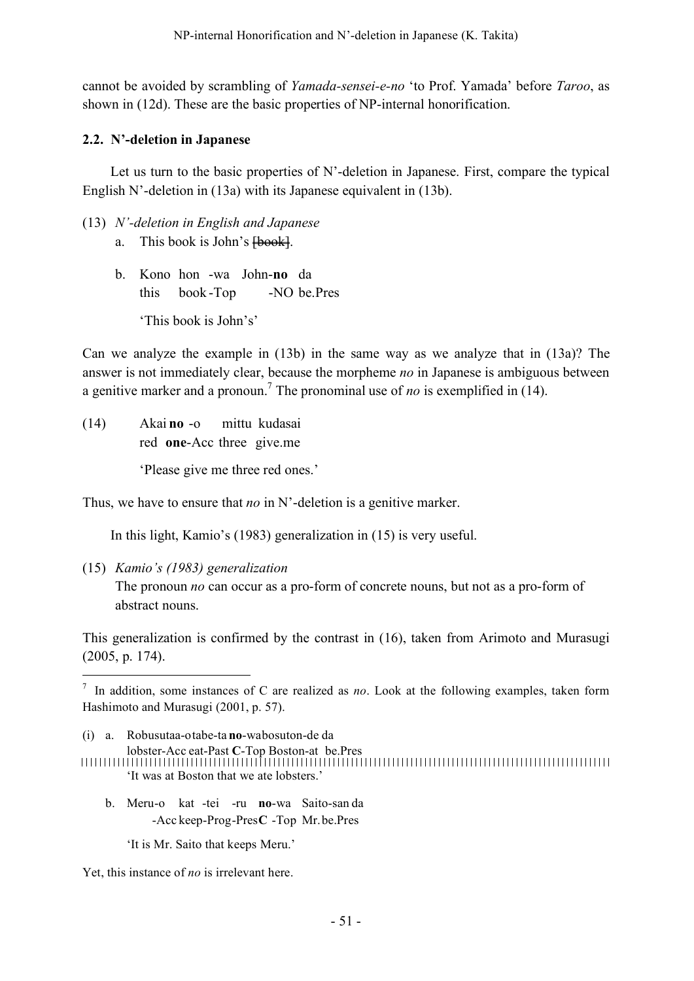cannot be avoided by scrambling of *Yamada-sensei-e-no* 'to Prof. Yamada' before *Taroo*, as shown in (12d). These are the basic properties of NP-internal honorification.

#### **2.2. N'-deletion in Japanese**

Let us turn to the basic properties of N'-deletion in Japanese. First, compare the typical English N'-deletion in (13a) with its Japanese equivalent in (13b).

- (13) *N'-deletion in English and Japanese*
	- a. This book is John's  $\overline{\text{book}}$ .
	- b. Kono hon -wa John-**no** da this book -Top -NO be.Pres 'This book is John's'

Can we analyze the example in (13b) in the same way as we analyze that in (13a)? The answer is not immediately clear, because the morpheme *no* in Japanese is ambiguous between a genitive marker and a pronoun. <sup>7</sup> The pronominal use of *no* is exemplified in (14).

(14) Akai **no** -o mittu kudasai red **one**-Acc three give.me

'Please give me three red ones.'

Thus, we have to ensure that *no* in N'-deletion is a genitive marker.

In this light, Kamio's (1983) generalization in (15) is very useful.

(15) *Kamio's (1983) generalization* The pronoun *no* can occur as a pro-form of concrete nouns, but not as a pro-form of abstract nouns.

This generalization is confirmed by the contrast in (16), taken from Arimoto and Murasugi (2005, p. 174).

- b. Meru-o kat -tei -ru **no**-wa Saito-san da -Acc keep-Prog-Pres**C** -Top Mr.be.Pres
	- 'It is Mr. Saito that keeps Meru.'

Yet, this instance of *no* is irrelevant here.

 <sup>7</sup> In addition, some instances of C are realized as *no*. Look at the following examples, taken form Hashimoto and Murasugi (2001, p. 57).

<sup>(</sup>i) a. Robusutaa-otabe-ta **no**-wabosuton-de da

lobster-Acc eat-Past **C**-Top Boston-at be.Pres 'It was at Boston that we ate lobsters.'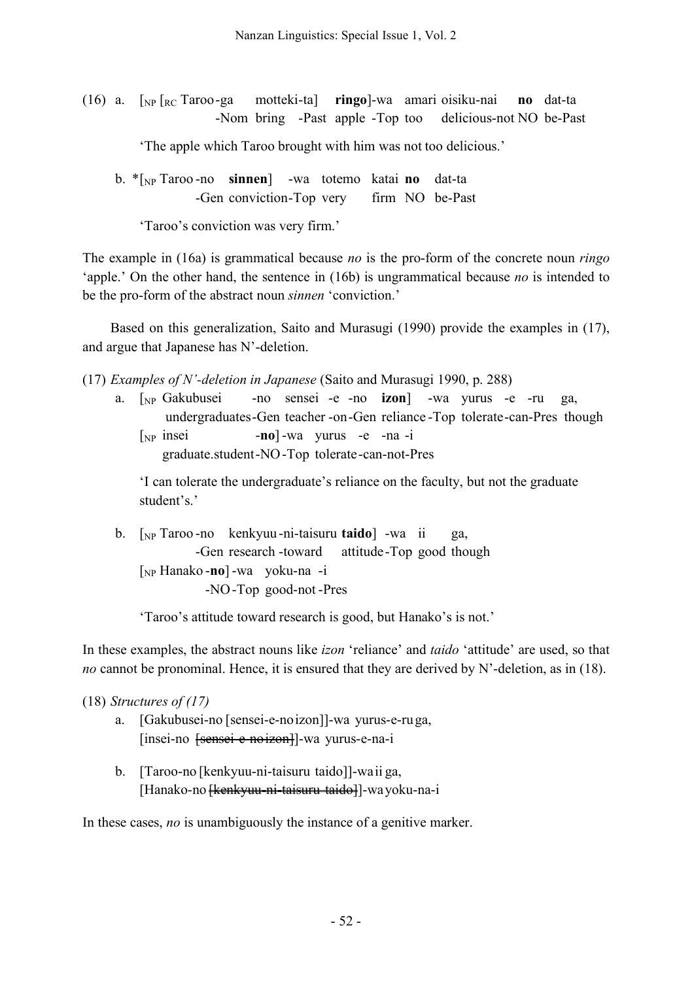(16) a. [NP [RC Taroo-ga motteki-ta] **ringo**]-wa amari oisiku-nai **no** dat-ta -Nom bring -Past apple -Top too delicious-not NO be-Past

'The apple which Taroo brought with him was not too delicious.'

b. \*[NP Taroo -no **sinnen**] -wa totemo katai **no** dat-ta -Gen conviction-Top very firm NO be-Past

'Taroo's conviction was very firm.'

The example in (16a) is grammatical because *no* is the pro-form of the concrete noun *ringo* 'apple.' On the other hand, the sentence in (16b) is ungrammatical because *no* is intended to be the pro-form of the abstract noun *sinnen* 'conviction.'

Based on this generalization, Saito and Murasugi (1990) provide the examples in (17), and argue that Japanese has N'-deletion.

(17) *Examples of N'-deletion in Japanese* (Saito and Murasugi 1990, p. 288)

a. [NP Gakubusei -no sensei -e -no **izon**] -wa yurus -e -ru ga, undergraduates-Gen teacher -on-Gen reliance -Top tolerate-can-Pres though [NP insei -**no**] -wa yurus -e -na -i graduate.student-NO-Top tolerate-can-not-Pres

'I can tolerate the undergraduate's reliance on the faculty, but not the graduate student's.'

b. [NP Taroo -no kenkyuu-ni-taisuru **taido**] -wa ii ga, -Gen research -toward attitude-Top good though [NP Hanako -**no**] -wa yoku-na -i -NO-Top good-not -Pres

'Taroo's attitude toward research is good, but Hanako's is not.'

In these examples, the abstract nouns like *izon* 'reliance' and *taido* 'attitude' are used, so that *no* cannot be pronominal. Hence, it is ensured that they are derived by N'-deletion, as in (18).

(18) *Structures of (17)*

- a. [Gakubusei-no [sensei-e-noizon]]-wa yurus-e-ruga, [insei-no [sensei-e-noizon]]-wa yurus-e-na-i
- b. [Taroo-no [kenkyuu-ni-taisuru taido]]-waii ga, [Hanako-no <del>[kenkyuu-ni-taisuru taido]</del>]-wayoku-na-i

In these cases, *no* is unambiguously the instance of a genitive marker.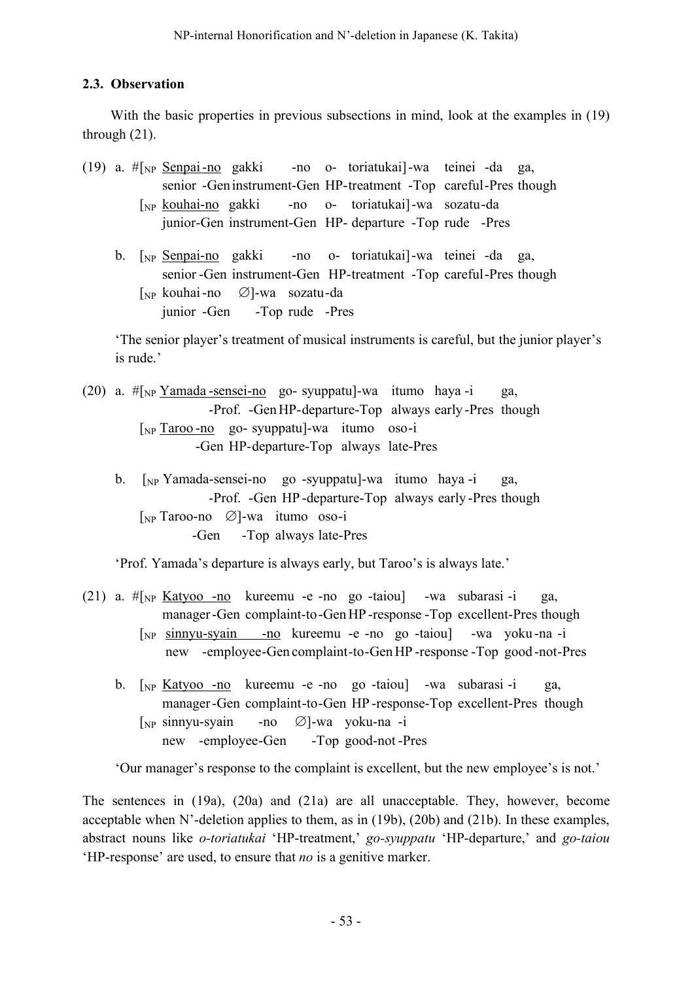# **2.3. Observation**

With the basic properties in previous subsections in mind, look at the examples in (19) through (21).

- (19) a. #[NP Senpai-no gakki -no o- toriatukai]-wa teinei -da ga, senior -Geninstrument-Gen HP-treatment -Top careful-Pres though [NP kouhai-no gakki -no o- toriatukai]-wa sozatu-da junior-Gen instrument-Gen HP- departure -Top rude -Pres
	- b. [NP Senpai-no gakki -no o- toriatukai]-wa teinei -da ga, senior -Gen instrument-Gen HP-treatment -Top careful-Pres though [NP kouhai-no ∅]-wa sozatu-da junior -Gen -Top rude -Pres

'The senior player's treatment of musical instruments is careful, but the junior player's is rude.'

- (20) a.  $\#\{\text{Np Yamada -sensei-no qo-syuppatu}\}-wa$  itumo haya -i ga, -Prof. -GenHP-departure-Top always early -Pres though [NP Taroo -no go- syuppatu]-wa itumo oso-i -Gen HP-departure-Top always late-Pres
	- b. [NP Yamada-sensei-no go -syuppatu]-wa itumo haya -i ga, -Prof. -Gen HP -departure-Top always early -Pres though [NP Taroo-no ∅]-wa itumo oso-i -Gen -Top always late-Pres

'Prof. Yamada's departure is always early, but Taroo's is always late.'

- (21) a.  $\# \lceil_{NP}$  Katyoo -no kureemu -e -no go -taiou $\lceil$  -wa subarasi -i ga, manager-Gen complaint-to-GenHP -response -Top excellent-Pres though [NP sinnyu-syain -no kureemu -e -no go -taiou] -wa yoku -na -i new -employee-Gen complaint-to-GenHP -response -Top good -not-Pres
	- b. [NP Katyoo -no kureemu -e -no go -taiou] -wa subarasi -i ga, manager-Gen complaint-to-Gen HP -response-Top excellent-Pres though [NP sinnyu-syain -no ∅]-wa yoku-na -i new -employee-Gen -Top good-not -Pres

'Our manager's response to the complaint is excellent, but the new employee's is not.'

The sentences in (19a), (20a) and (21a) are all unacceptable. They, however, become acceptable when N'-deletion applies to them, as in (19b), (20b) and (21b). In these examples, abstract nouns like *o-toriatukai* 'HP-treatment,' *go-syuppatu* 'HP-departure,' and *go-taiou* 'HP-response' are used, to ensure that *no* is a genitive marker.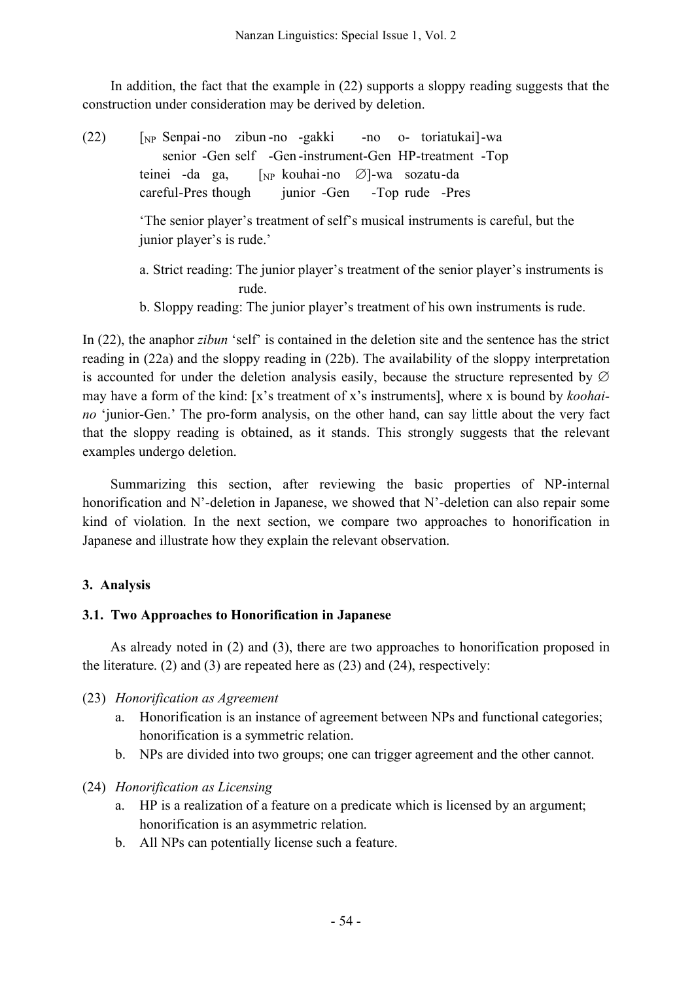In addition, the fact that the example in (22) supports a sloppy reading suggests that the construction under consideration may be derived by deletion.

- (22) [NP Senpai-no zibun -no -gakki -no o- toriatukai]-wa senior -Gen self -Gen -instrument-Gen HP-treatment -Top teinei -da ga, [NP kouhai-no ∅]-wa sozatu-da careful-Pres though junior -Gen -Top rude -Pres 'The senior player's treatment of self's musical instruments is careful, but the junior player's is rude.' a. Strict reading: The junior player's treatment of the senior player's instruments is
	- rude.
	- b. Sloppy reading: The junior player's treatment of his own instruments is rude.

In (22), the anaphor *zibun* 'self' is contained in the deletion site and the sentence has the strict reading in (22a) and the sloppy reading in (22b). The availability of the sloppy interpretation is accounted for under the deletion analysis easily, because the structure represented by  $\varnothing$ may have a form of the kind: [x's treatment of x's instruments], where x is bound by *koohaino* 'junior-Gen.' The pro-form analysis, on the other hand, can say little about the very fact that the sloppy reading is obtained, as it stands. This strongly suggests that the relevant examples undergo deletion.

Summarizing this section, after reviewing the basic properties of NP-internal honorification and N'-deletion in Japanese, we showed that N'-deletion can also repair some kind of violation. In the next section, we compare two approaches to honorification in Japanese and illustrate how they explain the relevant observation.

# **3. Analysis**

## **3.1. Two Approaches to Honorification in Japanese**

As already noted in (2) and (3), there are two approaches to honorification proposed in the literature. (2) and (3) are repeated here as (23) and (24), respectively:

## (23) *Honorification as Agreement*

- a. Honorification is an instance of agreement between NPs and functional categories; honorification is a symmetric relation.
- b. NPs are divided into two groups; one can trigger agreement and the other cannot.

# (24) *Honorification as Licensing*

- a. HP is a realization of a feature on a predicate which is licensed by an argument; honorification is an asymmetric relation.
- b. All NPs can potentially license such a feature.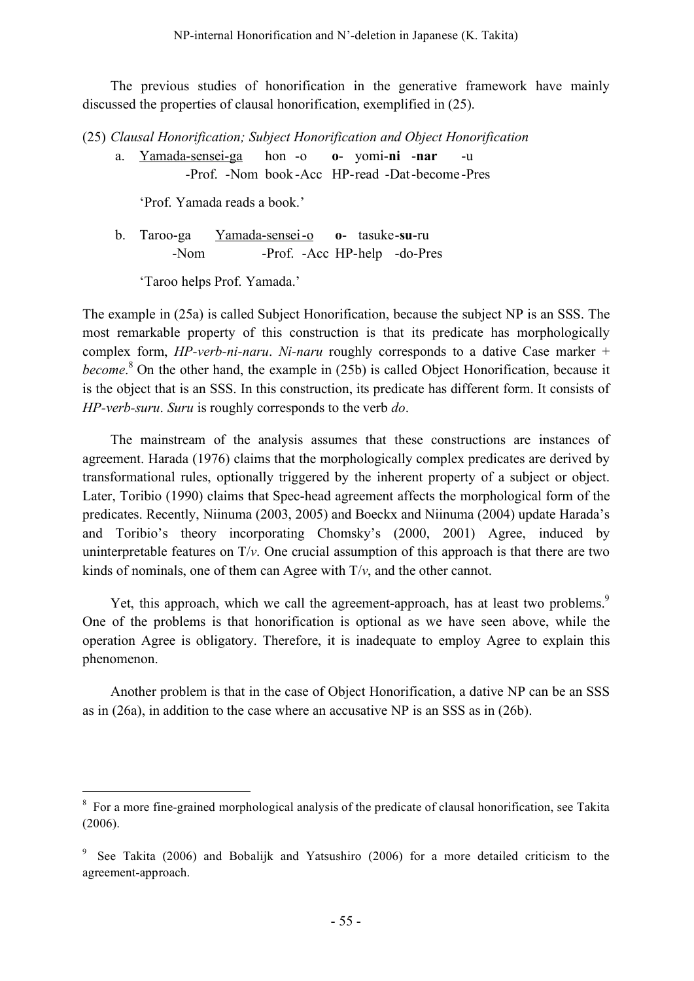The previous studies of honorification in the generative framework have mainly discussed the properties of clausal honorification, exemplified in (25).

(25) *Clausal Honorification; Subject Honorification and Object Honorification*

a. Yamada-sensei-ga hon -o **o**- yomi-**ni** -**nar** -u -Prof. -Nom book -Acc HP-read -Dat-become -Pres

'Prof. Yamada reads a book.'

b. Taroo-ga Yamada-sensei-o **o**- tasuke-**su**-ru -Nom -Prof. -Acc HP-help -do-Pres

'Taroo helps Prof. Yamada.'

The example in (25a) is called Subject Honorification, because the subject NP is an SSS. The most remarkable property of this construction is that its predicate has morphologically complex form, *HP-verb-ni-naru*. *Ni-naru* roughly corresponds to a dative Case marker + *become*. <sup>8</sup> On the other hand, the example in (25b) is called Object Honorification, because it is the object that is an SSS. In this construction, its predicate has different form. It consists of *HP-verb-suru*. *Suru* is roughly corresponds to the verb *do*.

The mainstream of the analysis assumes that these constructions are instances of agreement. Harada (1976) claims that the morphologically complex predicates are derived by transformational rules, optionally triggered by the inherent property of a subject or object. Later, Toribio (1990) claims that Spec-head agreement affects the morphological form of the predicates. Recently, Niinuma (2003, 2005) and Boeckx and Niinuma (2004) update Harada's and Toribio's theory incorporating Chomsky's (2000, 2001) Agree, induced by uninterpretable features on  $T/v$ . One crucial assumption of this approach is that there are two kinds of nominals, one of them can Agree with  $T/v$ , and the other cannot.

Yet, this approach, which we call the agreement-approach, has at least two problems.<sup>9</sup> One of the problems is that honorification is optional as we have seen above, while the operation Agree is obligatory. Therefore, it is inadequate to employ Agree to explain this phenomenon.

Another problem is that in the case of Object Honorification, a dative NP can be an SSS as in (26a), in addition to the case where an accusative NP is an SSS as in (26b).

<sup>&</sup>lt;sup>8</sup> For a more fine-grained morphological analysis of the predicate of clausal honorification, see Takita (2006).

<sup>9</sup> See Takita (2006) and Bobalijk and Yatsushiro (2006) for a more detailed criticism to the agreement-approach.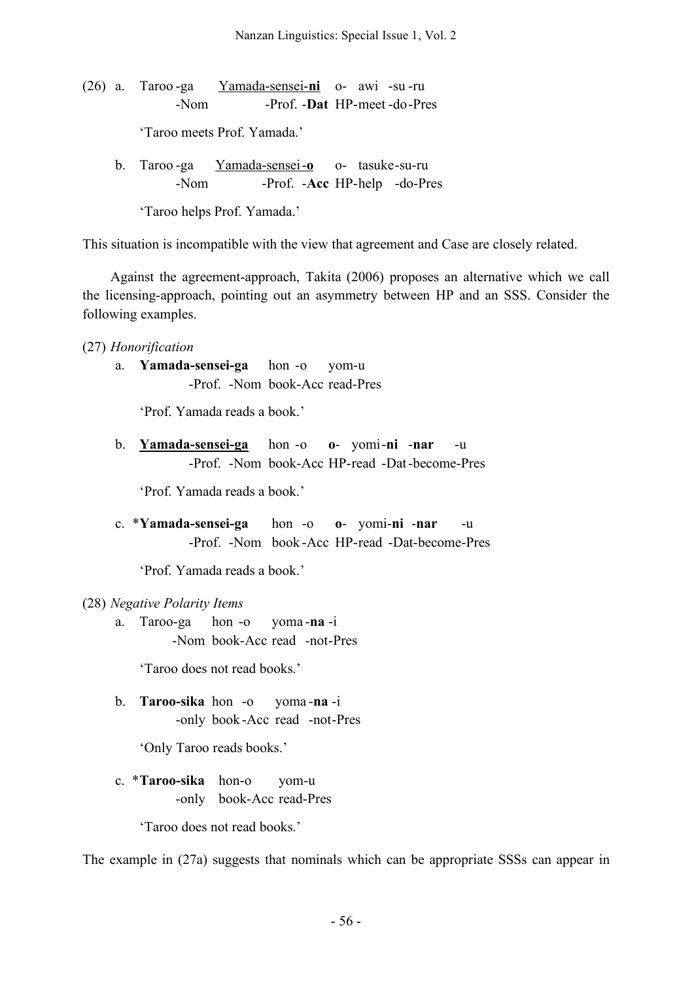(26) a. Taroo -ga Yamada-sensei-**ni** o- awi -su -ru -Nom -Prof. -**Dat** HP-meet -do-Pres

'Taroo meets Prof. Yamada.'

b. Taroo -ga Yamada-sensei-**o** o- tasuke-su-ru -Nom -Prof. -**Acc** HP-help -do-Pres

'Taroo helps Prof. Yamada.'

This situation is incompatible with the view that agreement and Case are closely related.

Against the agreement-approach, Takita (2006) proposes an alternative which we call the licensing-approach, pointing out an asymmetry between HP and an SSS. Consider the following examples.

- (27) *Honorification*
	- a. **Yamada-sensei-ga** hon -o yom-u -Prof. -Nom book-Acc read-Pres

'Prof. Yamada reads a book.'

b. **Yamada-sensei-ga** hon -o **o**- yomi-**ni** -**nar** -u -Prof. -Nom book-Acc HP-read -Dat-become-Pres

'Prof. Yamada reads a book.'

c. \***Yamada-sensei-ga** hon -o **o**- yomi-**ni** -**nar** -u -Prof. -Nom book -Acc HP-read -Dat-become-Pres

'Prof. Yamada reads a book.'

#### (28) *Negative Polarity Items*

a. Taroo-ga hon -o yoma -**na** -i -Nom book-Acc read -not-Pres

'Taroo does not read books.'

b. **Taroo-sika** hon -o yoma -**na** -i -only book -Acc read -not-Pres

'Only Taroo reads books.'

c. \***Taroo-sika** hon-o yom-u -only book-Acc read-Pres

'Taroo does not read books.'

The example in (27a) suggests that nominals which can be appropriate SSSs can appear in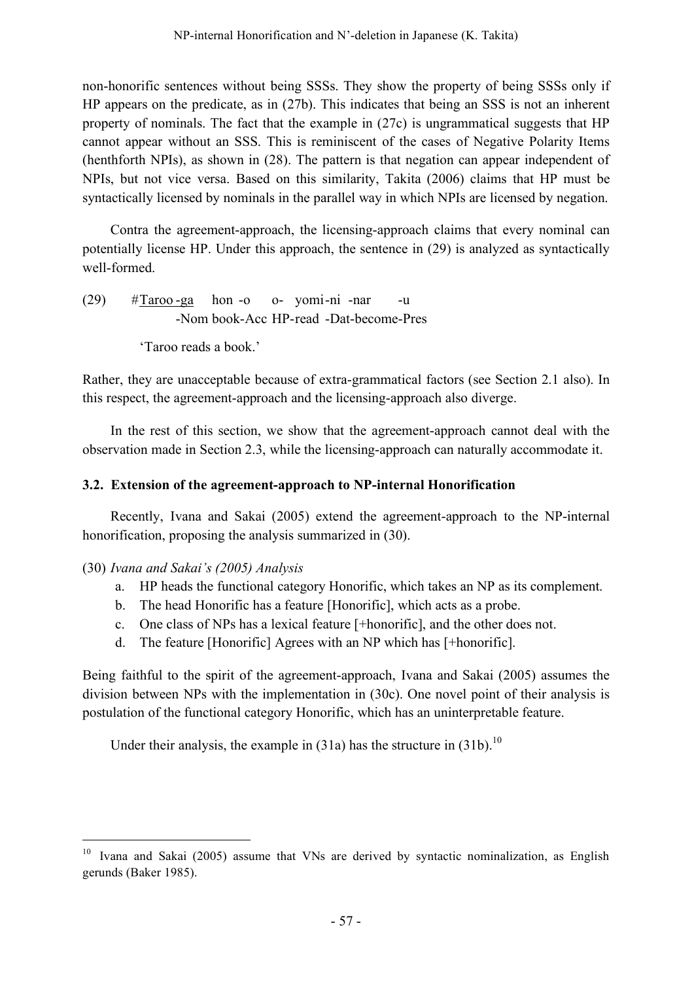non-honorific sentences without being SSSs. They show the property of being SSSs only if HP appears on the predicate, as in (27b). This indicates that being an SSS is not an inherent property of nominals. The fact that the example in (27c) is ungrammatical suggests that HP cannot appear without an SSS. This is reminiscent of the cases of Negative Polarity Items (henthforth NPIs), as shown in (28). The pattern is that negation can appear independent of NPIs, but not vice versa. Based on this similarity, Takita (2006) claims that HP must be syntactically licensed by nominals in the parallel way in which NPIs are licensed by negation.

Contra the agreement-approach, the licensing-approach claims that every nominal can potentially license HP. Under this approach, the sentence in (29) is analyzed as syntactically well-formed.

 $(29)$  #Taroo -ga hon -o o- yomi-ni -nar -u -Nom book-Acc HP-read -Dat-become-Pres

'Taroo reads a book.'

Rather, they are unacceptable because of extra-grammatical factors (see Section 2.1 also). In this respect, the agreement-approach and the licensing-approach also diverge.

In the rest of this section, we show that the agreement-approach cannot deal with the observation made in Section 2.3, while the licensing-approach can naturally accommodate it.

# **3.2. Extension of the agreement-approach to NP-internal Honorification**

Recently, Ivana and Sakai (2005) extend the agreement-approach to the NP-internal honorification, proposing the analysis summarized in (30).

## (30) *Ivana and Sakai's (2005) Analysis*

- a. HP heads the functional category Honorific, which takes an NP as its complement.
- b. The head Honorific has a feature [Honorific], which acts as a probe.
- c. One class of NPs has a lexical feature [+honorific], and the other does not.
- d. The feature [Honorific] Agrees with an NP which has [+honorific].

Being faithful to the spirit of the agreement-approach, Ivana and Sakai (2005) assumes the division between NPs with the implementation in (30c). One novel point of their analysis is postulation of the functional category Honorific, which has an uninterpretable feature.

Under their analysis, the example in  $(31a)$  has the structure in  $(31b)$ .<sup>10</sup>

<sup>&</sup>lt;sup>10</sup> Ivana and Sakai (2005) assume that VNs are derived by syntactic nominalization, as English gerunds (Baker 1985).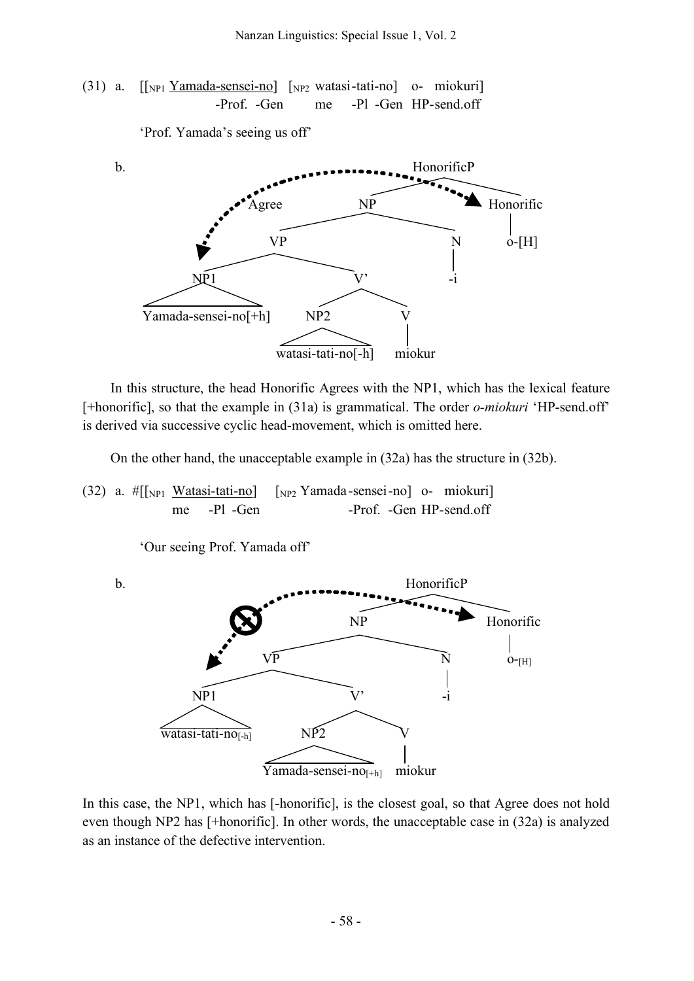(31) a.  $\lceil \frac{N_{\text{Pl}}}{N_{\text{Pl}}} \frac{Y_{\text{amada-sensei-nol}}}{Y_{\text{NP2}}}$  watasi-tati-no] o- miokuri -Prof. -Gen me -Pl -Gen HP-send.off

'Prof. Yamada's seeing us off'



In this structure, the head Honorific Agrees with the NP1, which has the lexical feature [+honorific], so that the example in (31a) is grammatical. The order *o-miokuri* 'HP-send.off' is derived via successive cyclic head-movement, which is omitted here.

On the other hand, the unacceptable example in (32a) has the structure in (32b).

(32) a.  $\#[[\text{NPI Watasi-tati-no}]$   $[\text{NP2} Yamada-sensei-no]$  o- miokuri] me -Pl -Gen -Prof. -Gen HP-send.off

'Our seeing Prof. Yamada off'



In this case, the NP1, which has [-honorific], is the closest goal, so that Agree does not hold even though NP2 has [+honorific]. In other words, the unacceptable case in (32a) is analyzed as an instance of the defective intervention.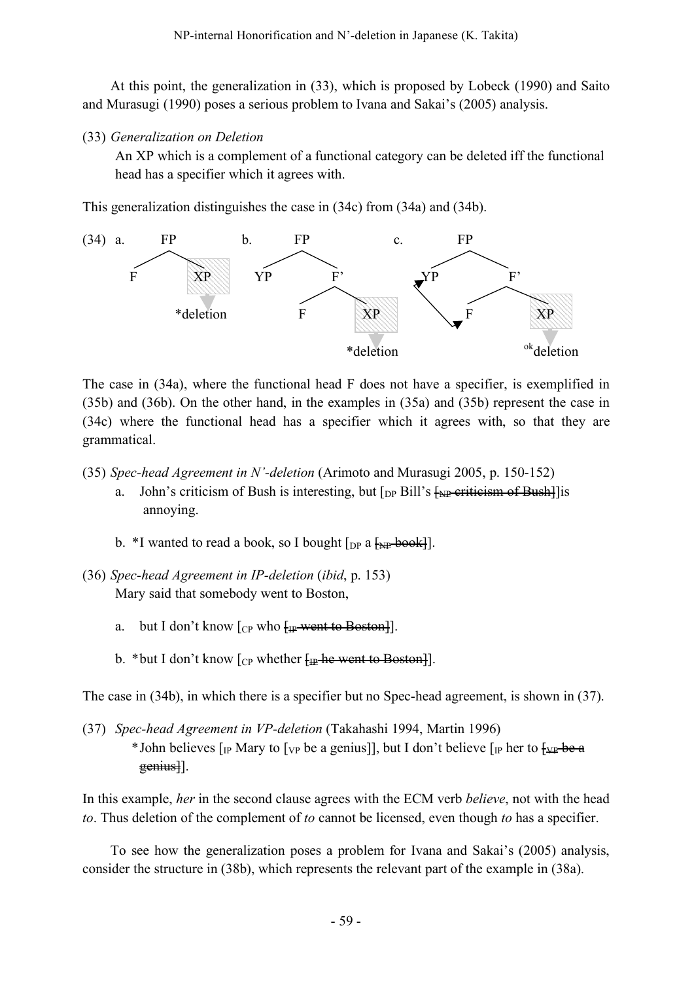At this point, the generalization in (33), which is proposed by Lobeck (1990) and Saito and Murasugi (1990) poses a serious problem to Ivana and Sakai's (2005) analysis.

(33) *Generalization on Deletion*

An XP which is a complement of a functional category can be deleted iff the functional head has a specifier which it agrees with.

This generalization distinguishes the case in (34c) from (34a) and (34b).



The case in (34a), where the functional head F does not have a specifier, is exemplified in (35b) and (36b). On the other hand, in the examples in (35a) and (35b) represent the case in (34c) where the functional head has a specifier which it agrees with, so that they are grammatical.

(35) *Spec-head Agreement in N'-deletion* (Arimoto and Murasugi 2005, p. 150-152)

- a. John's criticism of Bush is interesting, but  $\lceil_{DP}$  Bill's  $\frac{1}{N}$  eriticism of Bushannoying.
- b. \*I wanted to read a book, so I bought  $\lceil_{DP} a \rceil$   $\frac{1}{2}$
- (36) *Spec-head Agreement in IP-deletion* (*ibid*, p. 153) Mary said that somebody went to Boston,
	- a. but I don't know  $[CP]$  who  $[HP]$  went to Boston.
	- b. \*but I don't know  $\lceil_{CP}$  whether  $\lceil_{IP}$  he went to Boston.]

The case in (34b), in which there is a specifier but no Spec-head agreement, is shown in (37).

(37) *Spec-head Agreement in VP-deletion* (Takahashi 1994, Martin 1996) \* John believes  $\lceil_{IP}$  Mary to  $\lceil_{VP}$  be a genius], but I don't believe  $\lceil_{IP}$  her to  $\frac{f_{VP} - f_{P}}{f_{VP}}$  $g$ enius].

In this example, *her* in the second clause agrees with the ECM verb *believe*, not with the head *to*. Thus deletion of the complement of *to* cannot be licensed, even though *to* has a specifier.

To see how the generalization poses a problem for Ivana and Sakai's (2005) analysis, consider the structure in (38b), which represents the relevant part of the example in (38a).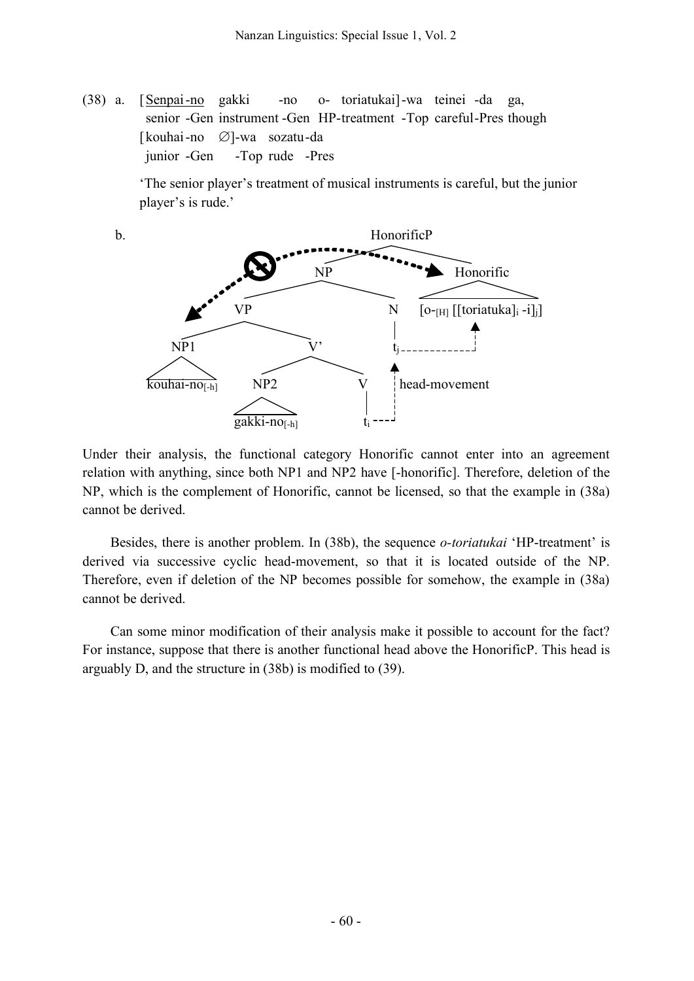(38) a. [Senpai-no gakki -no o- toriatukai]-wa teinei -da ga, senior -Gen instrument -Gen HP-treatment -Top careful-Pres though [kouhai-no ∅]-wa sozatu-da junior -Gen -Top rude -Pres

> 'The senior player's treatment of musical instruments is careful, but the junior player's is rude.'



Under their analysis, the functional category Honorific cannot enter into an agreement relation with anything, since both NP1 and NP2 have [-honorific]. Therefore, deletion of the NP, which is the complement of Honorific, cannot be licensed, so that the example in (38a) cannot be derived.

Besides, there is another problem. In (38b), the sequence *o-toriatukai* 'HP-treatment' is derived via successive cyclic head-movement, so that it is located outside of the NP. Therefore, even if deletion of the NP becomes possible for somehow, the example in (38a) cannot be derived.

Can some minor modification of their analysis make it possible to account for the fact? For instance, suppose that there is another functional head above the HonorificP. This head is arguably D, and the structure in (38b) is modified to (39).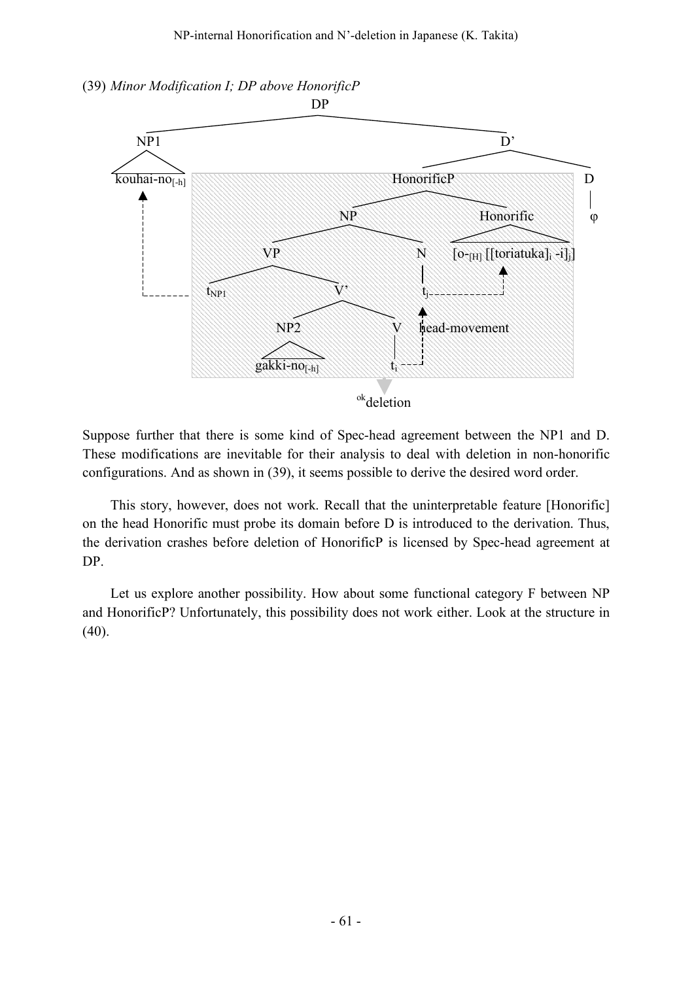



Suppose further that there is some kind of Spec-head agreement between the NP1 and D. These modifications are inevitable for their analysis to deal with deletion in non-honorific configurations. And as shown in (39), it seems possible to derive the desired word order.

This story, however, does not work. Recall that the uninterpretable feature [Honorific] on the head Honorific must probe its domain before D is introduced to the derivation. Thus, the derivation crashes before deletion of HonorificP is licensed by Spec-head agreement at DP.

Let us explore another possibility. How about some functional category F between NP and HonorificP? Unfortunately, this possibility does not work either. Look at the structure in (40).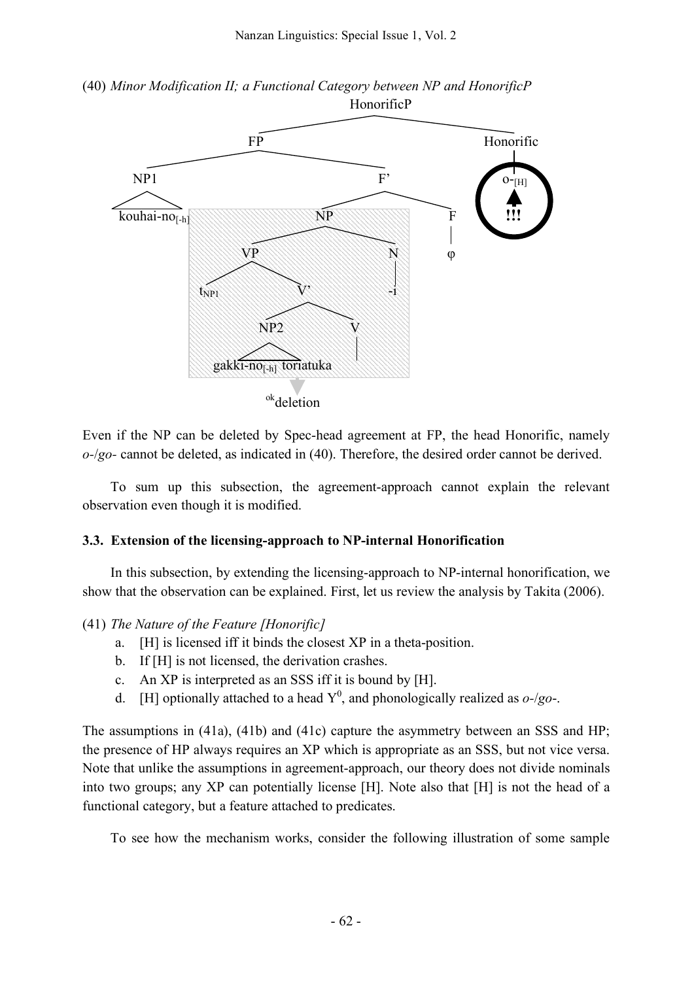



Even if the NP can be deleted by Spec-head agreement at FP, the head Honorific, namely *o-*/*go-* cannot be deleted, as indicated in (40). Therefore, the desired order cannot be derived.

To sum up this subsection, the agreement-approach cannot explain the relevant observation even though it is modified.

#### **3.3. Extension of the licensing-approach to NP-internal Honorification**

In this subsection, by extending the licensing-approach to NP-internal honorification, we show that the observation can be explained. First, let us review the analysis by Takita (2006).

#### (41) *The Nature of the Feature [Honorific]*

- a. [H] is licensed iff it binds the closest XP in a theta-position.
- b. If [H] is not licensed, the derivation crashes.
- c. An XP is interpreted as an SSS iff it is bound by [H].
- d. [H] optionally attached to a head  $Y^0$ , and phonologically realized as  $o$ -/*go*-.

The assumptions in (41a), (41b) and (41c) capture the asymmetry between an SSS and HP; the presence of HP always requires an XP which is appropriate as an SSS, but not vice versa. Note that unlike the assumptions in agreement-approach, our theory does not divide nominals into two groups; any XP can potentially license [H]. Note also that [H] is not the head of a functional category, but a feature attached to predicates.

To see how the mechanism works, consider the following illustration of some sample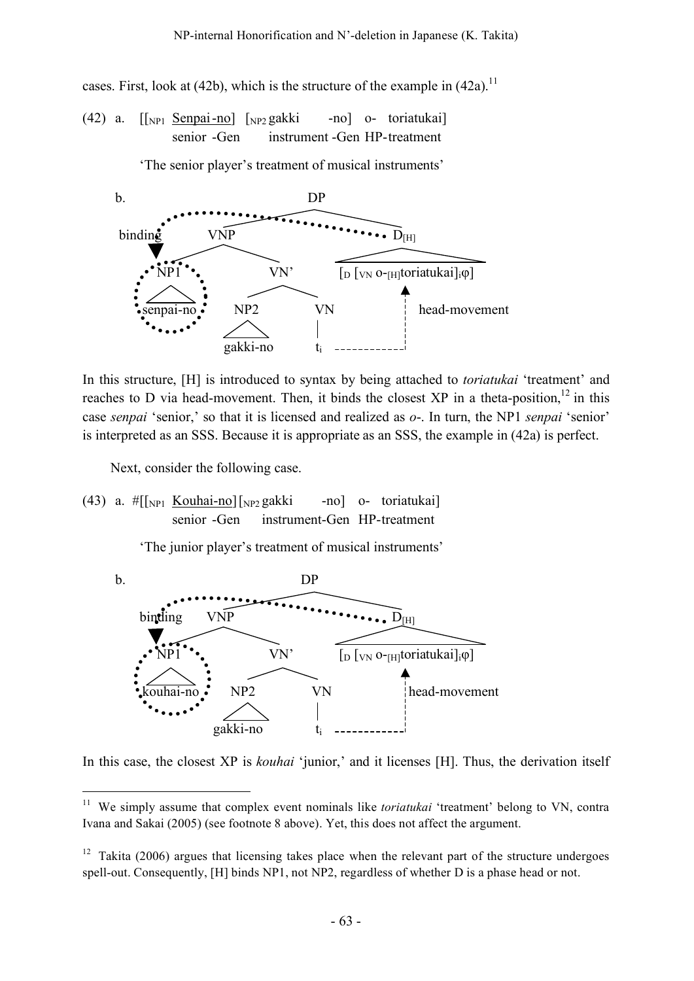cases. First, look at (42b), which is the structure of the example in  $(42a)$ .<sup>11</sup>

(42) a. [[NP1 Senpai-no] [NP2 gakki -no] o- toriatukai] senior -Gen instrument -Gen HP-treatment

'The senior player's treatment of musical instruments'



In this structure, [H] is introduced to syntax by being attached to *toriatukai* 'treatment' and reaches to D via head-movement. Then, it binds the closest XP in a theta-position,  $12$  in this case *senpai* 'senior,' so that it is licensed and realized as *o*-. In turn, the NP1 *senpai* 'senior' is interpreted as an SSS. Because it is appropriate as an SSS, the example in (42a) is perfect.

Next, consider the following case.

(43) a.  $\#$ [[NP1 Kouhai-no][NP2 gakki -no] o- toriatukai] senior -Gen instrument-Gen HP-treatment

'The junior player's treatment of musical instruments'



In this case, the closest XP is *kouhai* 'junior,' and it licenses [H]. Thus, the derivation itself

<sup>&</sup>lt;sup>11</sup> We simply assume that complex event nominals like *toriatukai* 'treatment' belong to VN, contra Ivana and Sakai (2005) (see footnote 8 above). Yet, this does not affect the argument.

 $12$  Takita (2006) argues that licensing takes place when the relevant part of the structure undergoes spell-out. Consequently, [H] binds NP1, not NP2, regardless of whether D is a phase head or not.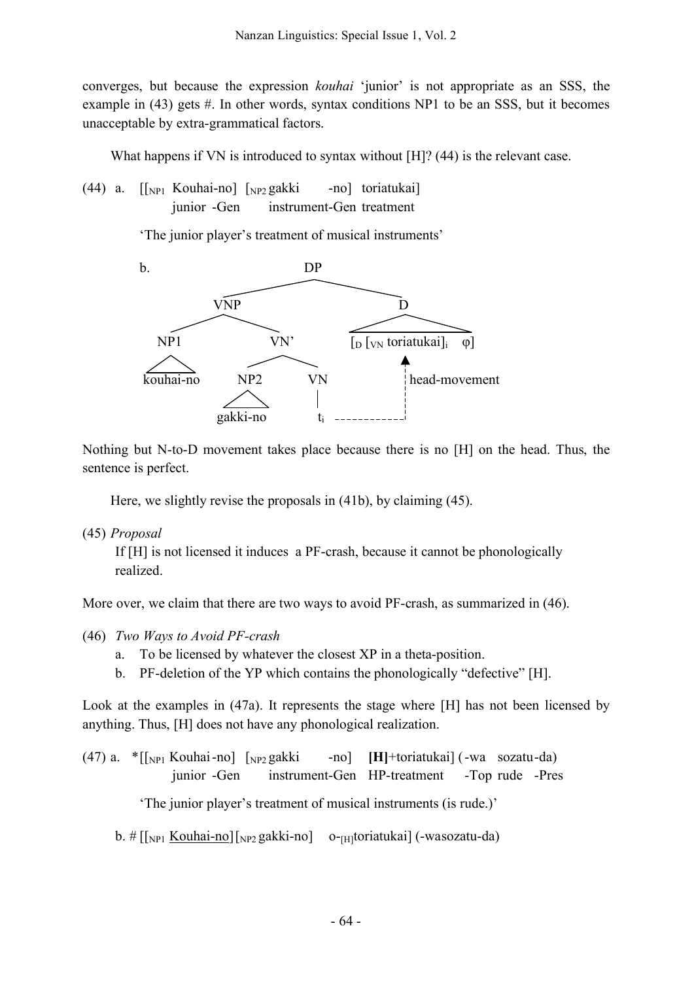converges, but because the expression *kouhai* 'junior' is not appropriate as an SSS, the example in  $(43)$  gets #. In other words, syntax conditions NP1 to be an SSS, but it becomes unacceptable by extra-grammatical factors.

What happens if VN is introduced to syntax without [H]? (44) is the relevant case.

 $(44)$  a.  $\lceil \lceil_{NPI} \rceil$  Kouhai-no]  $\lceil_{NPI} \rceil$  gakki -no] toriatukai] junior -Gen instrument-Gen treatment

'The junior player's treatment of musical instruments'



Nothing but N-to-D movement takes place because there is no [H] on the head. Thus, the sentence is perfect.

Here, we slightly revise the proposals in (41b), by claiming (45).

(45) *Proposal*

If [H] is not licensed it induces a PF-crash, because it cannot be phonologically realized.

More over, we claim that there are two ways to avoid PF-crash, as summarized in (46).

- (46) *Two Ways to Avoid PF-crash*
	- a. To be licensed by whatever the closest XP in a theta-position.
	- b. PF-deletion of the YP which contains the phonologically "defective" [H].

Look at the examples in (47a). It represents the stage where [H] has not been licensed by anything. Thus, [H] does not have any phonological realization.

(47) a. \*[[NP1 Kouhai-no] [NP2 gakki -no] **[H]**+toriatukai] (-wa sozatu-da) junior -Gen instrument-Gen HP-treatment -Top rude -Pres 'The junior player's treatment of musical instruments (is rude.)'

```
b. \# [[<sub>NP1</sub> <u>Kouhai-no</u>][<sub>NP2</sub> gakki-no] o-<sub>[H]</sub>toriatukai] (-wasozatu-da)
```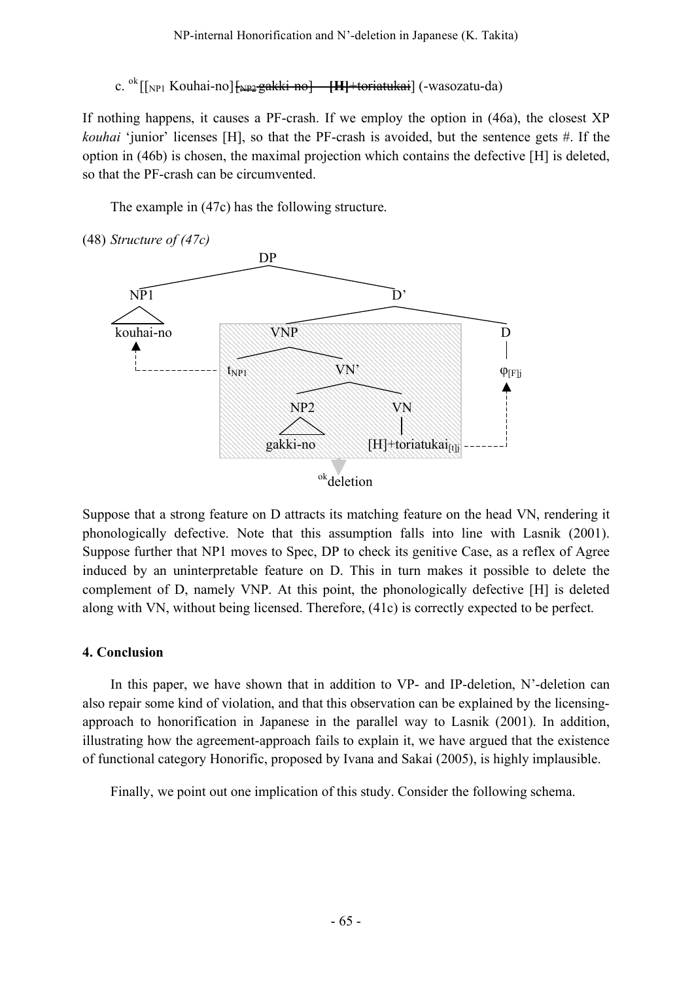c. <sup>ok</sup> [[<sub>NP1</sub> Kouhai-no] <del>[<sub>NP2</sub> gakki-no] **[H]** +toriatukai</del>] (-wasozatu-da)

If nothing happens, it causes a PF-crash. If we employ the option in (46a), the closest XP *kouhai* 'junior' licenses [H], so that the PF-crash is avoided, but the sentence gets #. If the option in (46b) is chosen, the maximal projection which contains the defective [H] is deleted, so that the PF-crash can be circumvented.

The example in (47c) has the following structure.



Suppose that a strong feature on D attracts its matching feature on the head VN, rendering it phonologically defective. Note that this assumption falls into line with Lasnik (2001). Suppose further that NP1 moves to Spec, DP to check its genitive Case, as a reflex of Agree induced by an uninterpretable feature on D. This in turn makes it possible to delete the complement of D, namely VNP. At this point, the phonologically defective [H] is deleted along with VN, without being licensed. Therefore, (41c) is correctly expected to be perfect.

#### **4. Conclusion**

In this paper, we have shown that in addition to VP- and IP-deletion, N'-deletion can also repair some kind of violation, and that this observation can be explained by the licensingapproach to honorification in Japanese in the parallel way to Lasnik (2001). In addition, illustrating how the agreement-approach fails to explain it, we have argued that the existence of functional category Honorific, proposed by Ivana and Sakai (2005), is highly implausible.

Finally, we point out one implication of this study. Consider the following schema.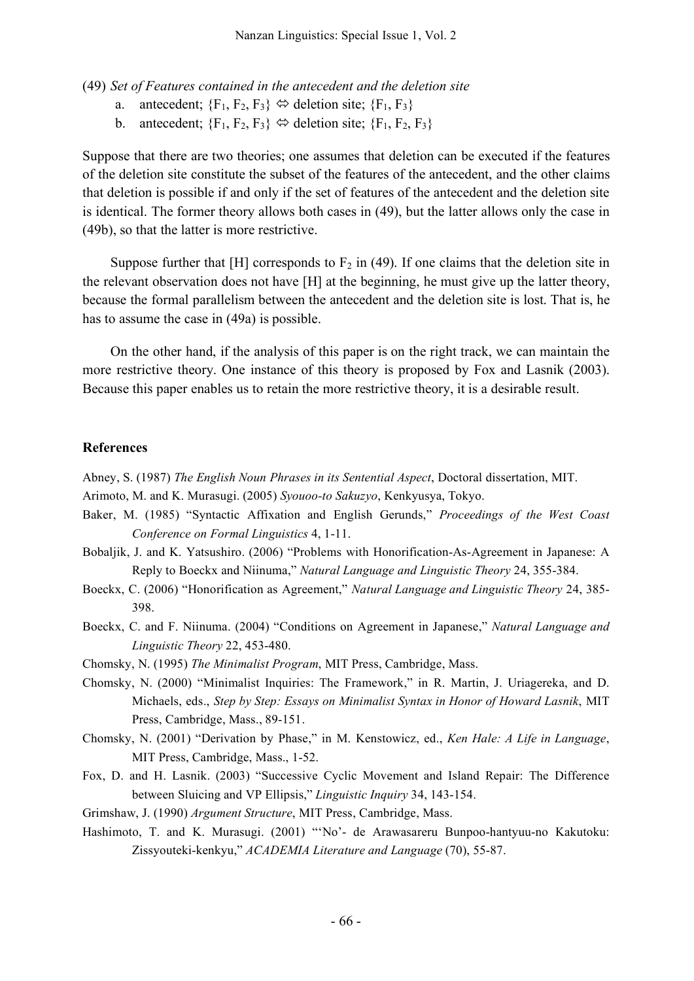(49) *Set of Features contained in the antecedent and the deletion site*

- a. antecedent;  ${F_1, F_2, F_3} \Leftrightarrow$  deletion site;  ${F_1, F_3}$
- b. antecedent;  ${F_1, F_2, F_3} \Leftrightarrow$  deletion site;  ${F_1, F_2, F_3}$

Suppose that there are two theories; one assumes that deletion can be executed if the features of the deletion site constitute the subset of the features of the antecedent, and the other claims that deletion is possible if and only if the set of features of the antecedent and the deletion site is identical. The former theory allows both cases in (49), but the latter allows only the case in (49b), so that the latter is more restrictive.

Suppose further that [H] corresponds to  $F_2$  in (49). If one claims that the deletion site in the relevant observation does not have [H] at the beginning, he must give up the latter theory, because the formal parallelism between the antecedent and the deletion site is lost. That is, he has to assume the case in (49a) is possible.

On the other hand, if the analysis of this paper is on the right track, we can maintain the more restrictive theory. One instance of this theory is proposed by Fox and Lasnik (2003). Because this paper enables us to retain the more restrictive theory, it is a desirable result.

#### **References**

Abney, S. (1987) *The English Noun Phrases in its Sentential Aspect*, Doctoral dissertation, MIT.

Arimoto, M. and K. Murasugi. (2005) *Syouoo-to Sakuzyo*, Kenkyusya, Tokyo.

- Baker, M. (1985) "Syntactic Affixation and English Gerunds," *Proceedings of the West Coast Conference on Formal Linguistics* 4, 1-11.
- Bobaljik, J. and K. Yatsushiro. (2006) "Problems with Honorification-As-Agreement in Japanese: A Reply to Boeckx and Niinuma," *Natural Language and Linguistic Theory* 24, 355-384.
- Boeckx, C. (2006) "Honorification as Agreement," *Natural Language and Linguistic Theory* 24, 385- 398.
- Boeckx, C. and F. Niinuma. (2004) "Conditions on Agreement in Japanese," *Natural Language and Linguistic Theory* 22, 453-480.

Chomsky, N. (1995) *The Minimalist Program*, MIT Press, Cambridge, Mass.

- Chomsky, N. (2000) "Minimalist Inquiries: The Framework," in R. Martin, J. Uriagereka, and D. Michaels, eds., *Step by Step: Essays on Minimalist Syntax in Honor of Howard Lasnik*, MIT Press, Cambridge, Mass., 89-151.
- Chomsky, N. (2001) "Derivation by Phase," in M. Kenstowicz, ed., *Ken Hale: A Life in Language*, MIT Press, Cambridge, Mass., 1-52.
- Fox, D. and H. Lasnik. (2003) "Successive Cyclic Movement and Island Repair: The Difference between Sluicing and VP Ellipsis," *Linguistic Inquiry* 34, 143-154.
- Grimshaw, J. (1990) *Argument Structure*, MIT Press, Cambridge, Mass.
- Hashimoto, T. and K. Murasugi. (2001) "'No'- de Arawasareru Bunpoo-hantyuu-no Kakutoku: Zissyouteki-kenkyu," *ACADEMIA Literature and Language* (70), 55-87.